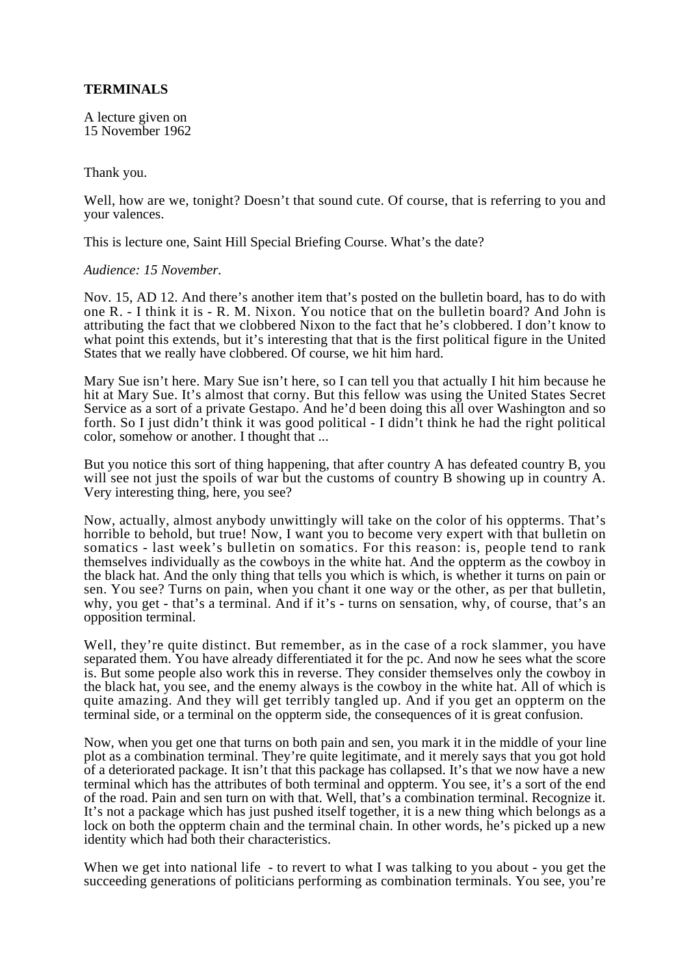## **TERMINALS**

A lecture given on 15 November 1962

Thank you.

Well, how are we, tonight? Doesn't that sound cute. Of course, that is referring to you and your valences.

This is lecture one, Saint Hill Special Briefing Course. What's the date?

*Audience: 15 November.*

Nov. 15, AD 12. And there's another item that's posted on the bulletin board, has to do with one R. - I think it is - R. M. Nixon. You notice that on the bulletin board? And John is attributing the fact that we clobbered Nixon to the fact that he's clobbered. I don't know to what point this extends, but it's interesting that that is the first political figure in the United States that we really have clobbered. Of course, we hit him hard.

Mary Sue isn't here. Mary Sue isn't here, so I can tell you that actually I hit him because he hit at Mary Sue. It's almost that corny. But this fellow was using the United States Secret Service as a sort of a private Gestapo. And he'd been doing this all over Washington and so forth. So I just didn't think it was good political - I didn't think he had the right political color, somehow or another. I thought that ...

But you notice this sort of thing happening, that after country A has defeated country B, you will see not just the spoils of war but the customs of country B showing up in country A. Very interesting thing, here, you see?

Now, actually, almost anybody unwittingly will take on the color of his oppterms. That's horrible to behold, but true! Now, I want you to become very expert with that bulletin on somatics - last week's bulletin on somatics. For this reason: is, people tend to rank themselves individually as the cowboys in the white hat. And the oppterm as the cowboy in the black hat. And the only thing that tells you which is which, is whether it turns on pain or sen. You see? Turns on pain, when you chant it one way or the other, as per that bulletin, why, you get - that's a terminal. And if it's - turns on sensation, why, of course, that's an opposition terminal.

Well, they're quite distinct. But remember, as in the case of a rock slammer, you have separated them. You have already differentiated it for the pc. And now he sees what the score is. But some people also work this in reverse. They consider themselves only the cowboy in the black hat, you see, and the enemy always is the cowboy in the white hat. All of which is quite amazing. And they will get terribly tangled up. And if you get an oppterm on the terminal side, or a terminal on the oppterm side, the consequences of it is great confusion.

Now, when you get one that turns on both pain and sen, you mark it in the middle of your line plot as a combination terminal. They're quite legitimate, and it merely says that you got hold of a deteriorated package. It isn't that this package has collapsed. It's that we now have a new terminal which has the attributes of both terminal and oppterm. You see, it's a sort of the end of the road. Pain and sen turn on with that. Well, that's a combination terminal. Recognize it. It's not a package which has just pushed itself together, it is a new thing which belongs as a lock on both the oppterm chain and the terminal chain. In other words, he's picked up a new identity which had both their characteristics.

When we get into national life - to revert to what I was talking to you about - you get the succeeding generations of politicians performing as combination terminals. You see, you're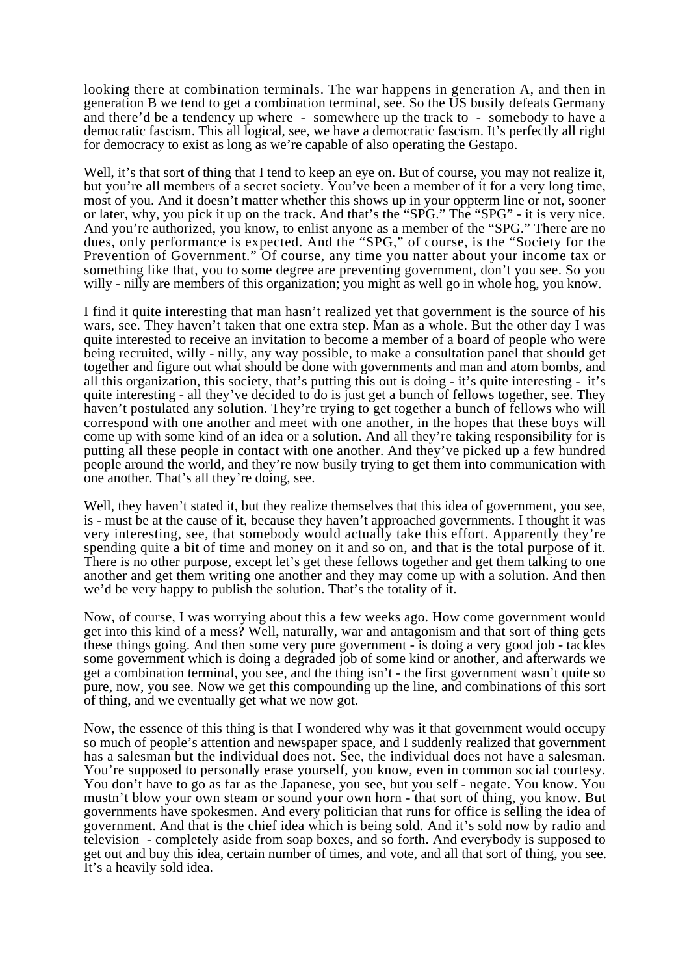looking there at combination terminals. The war happens in generation A, and then in generation B we tend to get a combination terminal, see. So the US busily defeats Germany and there'd be a tendency up where - somewhere up the track to - somebody to have a democratic fascism. This all logical, see, we have a democratic fascism. It's perfectly all right for democracy to exist as long as we're capable of also operating the Gestapo.

Well, it's that sort of thing that I tend to keep an eye on. But of course, you may not realize it, but you're all members of a secret society. You've been a member of it for a very long time, most of you. And it doesn't matter whether this shows up in your oppterm line or not, sooner or later, why, you pick it up on the track. And that's the "SPG." The "SPG" - it is very nice. And you're authorized, you know, to enlist anyone as a member of the "SPG." There are no dues, only performance is expected. And the "SPG," of course, is the "Society for the Prevention of Government." Of course, any time you natter about your income tax or something like that, you to some degree are preventing government, don't you see. So you willy - nilly are members of this organization; you might as well go in whole hog, you know.

I find it quite interesting that man hasn't realized yet that government is the source of his wars, see. They haven't taken that one extra step. Man as a whole. But the other day I was quite interested to receive an invitation to become a member of a board of people who were being recruited, willy - nilly, any way possible, to make a consultation panel that should get together and figure out what should be done with governments and man and atom bombs, and all this organization, this society, that's putting this out is doing - it's quite interesting - it's quite interesting - all they've decided to do is just get a bunch of fellows together, see. They haven't postulated any solution. They're trying to get together a bunch of fellows who will correspond with one another and meet with one another, in the hopes that these boys will come up with some kind of an idea or a solution. And all they're taking responsibility for is putting all these people in contact with one another. And they've picked up a few hundred people around the world, and they're now busily trying to get them into communication with one another. That's all they're doing, see.

Well, they haven't stated it, but they realize themselves that this idea of government, you see, is - must be at the cause of it, because they haven't approached governments. I thought it was very interesting, see, that somebody would actually take this effort. Apparently they're spending quite a bit of time and money on it and so on, and that is the total purpose of it. There is no other purpose, except let's get these fellows together and get them talking to one another and get them writing one another and they may come up with a solution. And then we'd be very happy to publish the solution. That's the totality of it.

Now, of course, I was worrying about this a few weeks ago. How come government would get into this kind of a mess? Well, naturally, war and antagonism and that sort of thing gets these things going. And then some very pure government - is doing a very good job - tackles some government which is doing a degraded job of some kind or another, and afterwards we get a combination terminal, you see, and the thing isn't - the first government wasn't quite so pure, now, you see. Now we get this compounding up the line, and combinations of this sort of thing, and we eventually get what we now got.

Now, the essence of this thing is that I wondered why was it that government would occupy so much of people's attention and newspaper space, and I suddenly realized that government has a salesman but the individual does not. See, the individual does not have a salesman. You're supposed to personally erase yourself, you know, even in common social courtesy. You don't have to go as far as the Japanese, you see, but you self - negate. You know. You mustn't blow your own steam or sound your own horn - that sort of thing, you know. But governments have spokesmen. And every politician that runs for office is selling the idea of government. And that is the chief idea which is being sold. And it's sold now by radio and television - completely aside from soap boxes, and so forth. And everybody is supposed to get out and buy this idea, certain number of times, and vote, and all that sort of thing, you see. It's a heavily sold idea.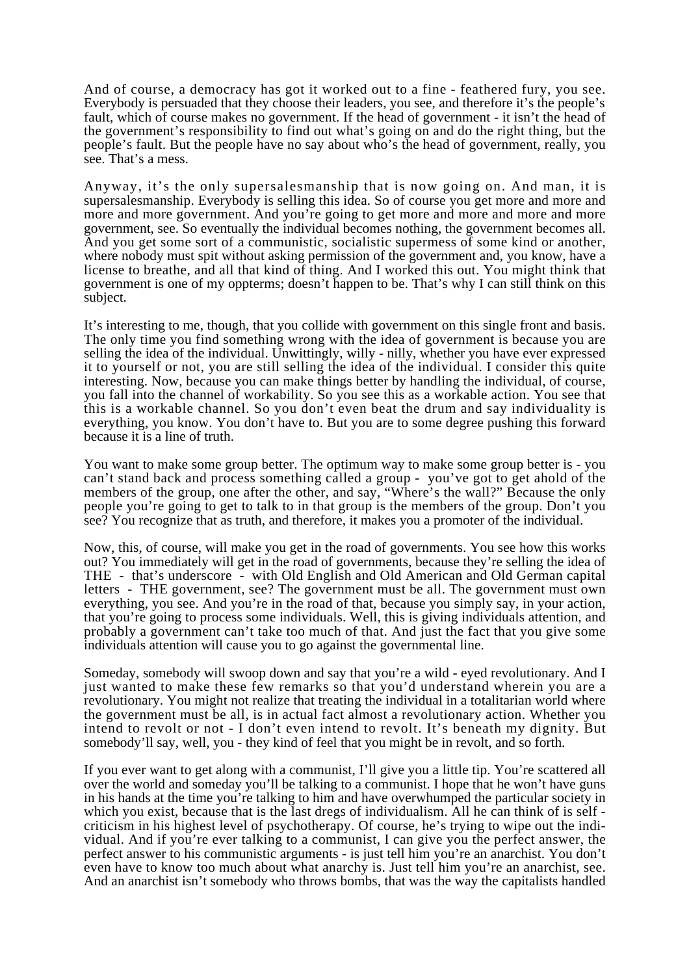And of course, a democracy has got it worked out to a fine - feathered fury, you see. Everybody is persuaded that they choose their leaders, you see, and therefore it's the people's fault, which of course makes no government. If the head of government - it isn't the head of the government's responsibility to find out what's going on and do the right thing, but the people's fault. But the people have no say about who's the head of government, really, you see. That's a mess.

Anyway, it's the only supersalesmanship that is now going on. And man, it is supersalesmanship. Everybody is selling this idea. So of course you get more and more and more and more government. And you're going to get more and more and more and more government, see. So eventually the individual becomes nothing, the government becomes all. And you get some sort of a communistic, socialistic supermess of some kind or another, where nobody must spit without asking permission of the government and, you know, have a license to breathe, and all that kind of thing. And I worked this out. You might think that government is one of my oppterms; doesn't happen to be. That's why I can still think on this subject.

It's interesting to me, though, that you collide with government on this single front and basis. The only time you find something wrong with the idea of government is because you are selling the idea of the individual. Unwittingly, willy - nilly, whether you have ever expressed it to yourself or not, you are still selling the idea of the individual. I consider this quite interesting. Now, because you can make things better by handling the individual, of course, you fall into the channel of workability. So you see this as a workable action. You see that this is a workable channel. So you don't even beat the drum and say individuality is everything, you know. You don't have to. But you are to some degree pushing this forward because it is a line of truth.

You want to make some group better. The optimum way to make some group better is - you can't stand back and process something called a group - you've got to get ahold of the members of the group, one after the other, and say, "Where's the wall?" Because the only people you're going to get to talk to in that group is the members of the group. Don't you see? You recognize that as truth, and therefore, it makes you a promoter of the individual.

Now, this, of course, will make you get in the road of governments. You see how this works out? You immediately will get in the road of governments, because they're selling the idea of THE - that's underscore - with Old English and Old American and Old German capital letters - THE government, see? The government must be all. The government must own everything, you see. And you're in the road of that, because you simply say, in your action, that you're going to process some individuals. Well, this is giving individuals attention, and probably a government can't take too much of that. And just the fact that you give some individuals attention will cause you to go against the governmental line.

Someday, somebody will swoop down and say that you're a wild - eyed revolutionary. And I just wanted to make these few remarks so that you'd understand wherein you are a revolutionary. You might not realize that treating the individual in a totalitarian world where the government must be all, is in actual fact almost a revolutionary action. Whether you intend to revolt or not - I don't even intend to revolt. It's beneath my dignity. But somebody'll say, well, you - they kind of feel that you might be in revolt, and so forth.

If you ever want to get along with a communist, I'll give you a little tip. You're scattered all over the world and someday you'll be talking to a communist. I hope that he won't have guns in his hands at the time you're talking to him and have overwhumped the particular society in which you exist, because that is the last dregs of individualism. All he can think of is self criticism in his highest level of psychotherapy. Of course, he's trying to wipe out the individual. And if you're ever talking to a communist, I can give you the perfect answer, the perfect answer to his communistic arguments - is just tell him you're an anarchist. You don't even have to know too much about what anarchy is. Just tell him you're an anarchist, see. And an anarchist isn't somebody who throws bombs, that was the way the capitalists handled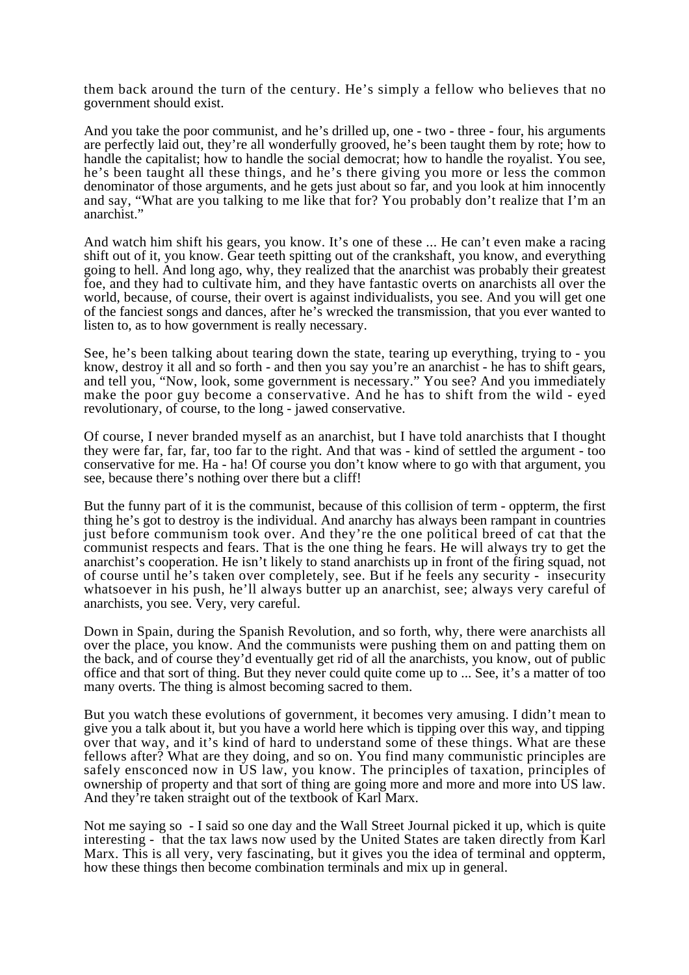them back around the turn of the century. He's simply a fellow who believes that no government should exist.

And you take the poor communist, and he's drilled up, one - two - three - four, his arguments are perfectly laid out, they're all wonderfully grooved, he's been taught them by rote; how to handle the capitalist; how to handle the social democrat; how to handle the royalist. You see, he's been taught all these things, and he's there giving you more or less the common denominator of those arguments, and he gets just about so far, and you look at him innocently and say, "What are you talking to me like that for? You probably don't realize that I'm an anarchist.'

And watch him shift his gears, you know. It's one of these ... He can't even make a racing shift out of it, you know. Gear teeth spitting out of the crankshaft, you know, and everything going to hell. And long ago, why, they realized that the anarchist was probably their greatest foe, and they had to cultivate him, and they have fantastic overts on anarchists all over the world, because, of course, their overt is against individualists, you see. And you will get one of the fanciest songs and dances, after he's wrecked the transmission, that you ever wanted to listen to, as to how government is really necessary.

See, he's been talking about tearing down the state, tearing up everything, trying to - you know, destroy it all and so forth - and then you say you're an anarchist - he has to shift gears, and tell you, "Now, look, some government is necessary." You see? And you immediately make the poor guy become a conservative. And he has to shift from the wild - eyed revolutionary, of course, to the long - jawed conservative.

Of course, I never branded myself as an anarchist, but I have told anarchists that I thought they were far, far, far, too far to the right. And that was - kind of settled the argument - too conservative for me. Ha - ha! Of course you don't know where to go with that argument, you see, because there's nothing over there but a cliff!

But the funny part of it is the communist, because of this collision of term - oppterm, the first thing he's got to destroy is the individual. And anarchy has always been rampant in countries just before communism took over. And they're the one political breed of cat that the communist respects and fears. That is the one thing he fears. He will always try to get the anarchist's cooperation. He isn't likely to stand anarchists up in front of the firing squad, not of course until he's taken over completely, see. But if he feels any security - insecurity whatsoever in his push, he'll always butter up an anarchist, see; always very careful of anarchists, you see. Very, very careful.

Down in Spain, during the Spanish Revolution, and so forth, why, there were anarchists all over the place, you know. And the communists were pushing them on and patting them on the back, and of course they'd eventually get rid of all the anarchists, you know, out of public office and that sort of thing. But they never could quite come up to ... See, it's a matter of too many overts. The thing is almost becoming sacred to them.

But you watch these evolutions of government, it becomes very amusing. I didn't mean to give you a talk about it, but you have a world here which is tipping over this way, and tipping over that way, and it's kind of hard to understand some of these things. What are these fellows after? What are they doing, and so on. You find many communistic principles are safely ensconced now in US law, you know. The principles of taxation, principles of ownership of property and that sort of thing are going more and more and more into US law. And they're taken straight out of the textbook of Karl Marx.

Not me saying so - I said so one day and the Wall Street Journal picked it up, which is quite interesting - that the tax laws now used by the United States are taken directly from Karl Marx. This is all very, very fascinating, but it gives you the idea of terminal and oppterm, how these things then become combination terminals and mix up in general.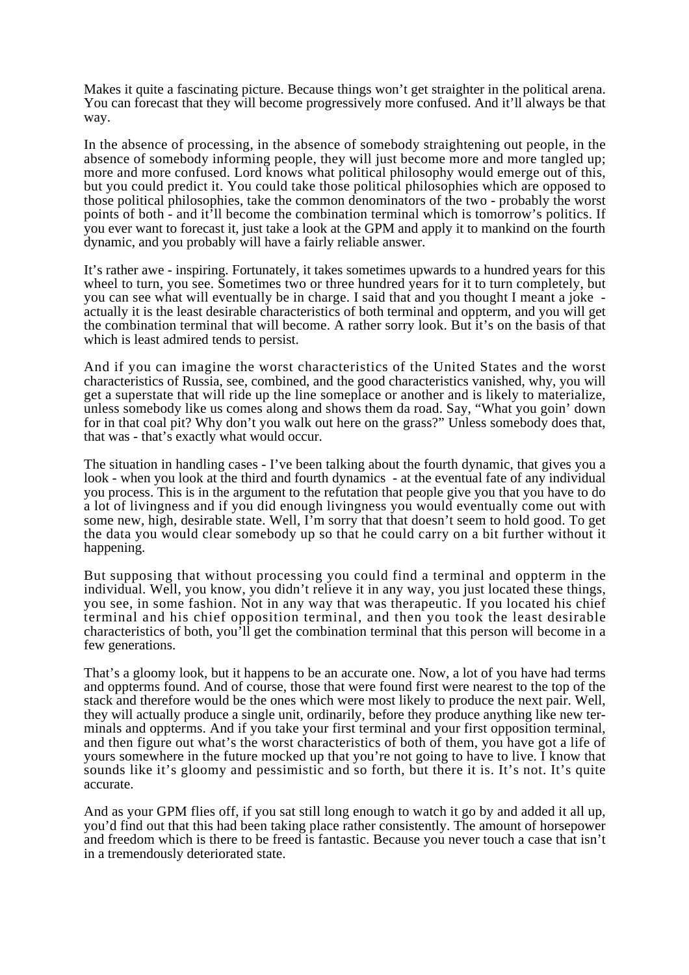Makes it quite a fascinating picture. Because things won't get straighter in the political arena. You can forecast that they will become progressively more confused. And it'll always be that way.

In the absence of processing, in the absence of somebody straightening out people, in the absence of somebody informing people, they will just become more and more tangled up; more and more confused. Lord knows what political philosophy would emerge out of this, but you could predict it. You could take those political philosophies which are opposed to those political philosophies, take the common denominators of the two - probably the worst points of both - and it'll become the combination terminal which is tomorrow's politics. If you ever want to forecast it, just take a look at the GPM and apply it to mankind on the fourth dynamic, and you probably will have a fairly reliable answer.

It's rather awe - inspiring. Fortunately, it takes sometimes upwards to a hundred years for this wheel to turn, you see. Sometimes two or three hundred years for it to turn completely, but you can see what will eventually be in charge. I said that and you thought I meant a joke actually it is the least desirable characteristics of both terminal and oppterm, and you will get the combination terminal that will become. A rather sorry look. But it's on the basis of that which is least admired tends to persist.

And if you can imagine the worst characteristics of the United States and the worst characteristics of Russia, see, combined, and the good characteristics vanished, why, you will get a superstate that will ride up the line someplace or another and is likely to materialize, unless somebody like us comes along and shows them da road. Say, "What you goin' down for in that coal pit? Why don't you walk out here on the grass?" Unless somebody does that, that was - that's exactly what would occur.

The situation in handling cases - I've been talking about the fourth dynamic, that gives you a look - when you look at the third and fourth dynamics - at the eventual fate of any individual you process. This is in the argument to the refutation that people give you that you have to do a lot of livingness and if you did enough livingness you would eventually come out with some new, high, desirable state. Well, I'm sorry that that doesn't seem to hold good. To get the data you would clear somebody up so that he could carry on a bit further without it happening.

But supposing that without processing you could find a terminal and oppterm in the individual. Well, you know, you didn't relieve it in any way, you just located these things, you see, in some fashion. Not in any way that was therapeutic. If you located his chief terminal and his chief opposition terminal, and then you took the least desirable characteristics of both, you'll get the combination terminal that this person will become in a few generations.

That's a gloomy look, but it happens to be an accurate one. Now, a lot of you have had terms and oppterms found. And of course, those that were found first were nearest to the top of the stack and therefore would be the ones which were most likely to produce the next pair. Well, they will actually produce a single unit, ordinarily, before they produce anything like new terminals and oppterms. And if you take your first terminal and your first opposition terminal, and then figure out what's the worst characteristics of both of them, you have got a life of yours somewhere in the future mocked up that you're not going to have to live. I know that sounds like it's gloomy and pessimistic and so forth, but there it is. It's not. It's quite accurate.

And as your GPM flies off, if you sat still long enough to watch it go by and added it all up, you'd find out that this had been taking place rather consistently. The amount of horsepower and freedom which is there to be freed is fantastic. Because you never touch a case that isn't in a tremendously deteriorated state.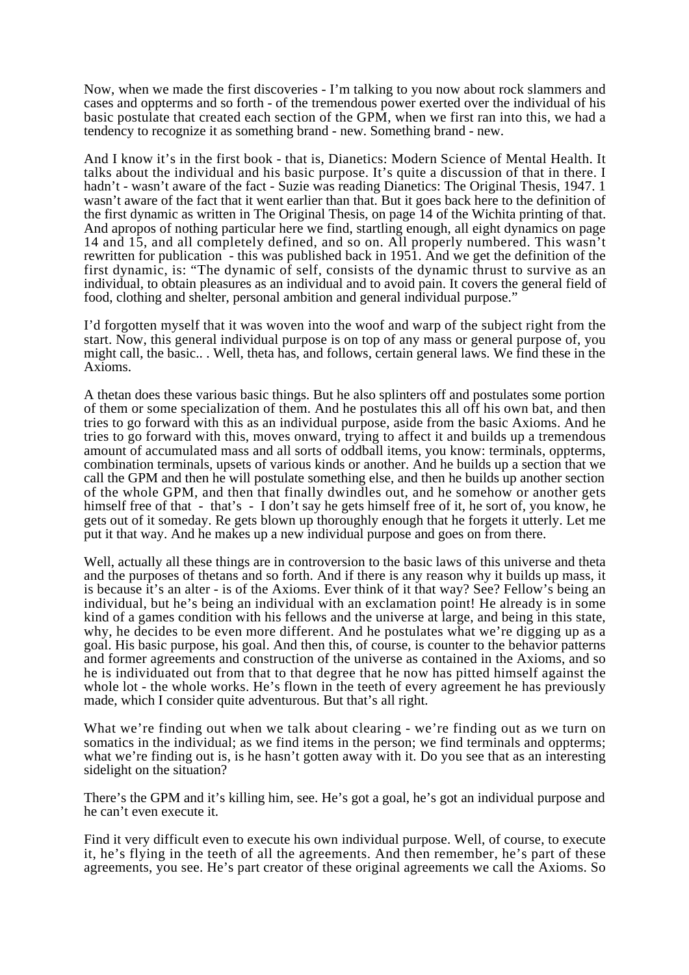Now, when we made the first discoveries - I'm talking to you now about rock slammers and cases and oppterms and so forth - of the tremendous power exerted over the individual of his basic postulate that created each section of the GPM, when we first ran into this, we had a tendency to recognize it as something brand - new. Something brand - new.

And I know it's in the first book - that is, Dianetics: Modern Science of Mental Health. It talks about the individual and his basic purpose. It's quite a discussion of that in there. I hadn't - wasn't aware of the fact - Suzie was reading Dianetics: The Original Thesis, 1947. 1 wasn't aware of the fact that it went earlier than that. But it goes back here to the definition of the first dynamic as written in The Original Thesis, on page 14 of the Wichita printing of that. And apropos of nothing particular here we find, startling enough, all eight dynamics on page 14 and 15, and all completely defined, and so on. All properly numbered. This wasn't rewritten for publication - this was published back in 1951. And we get the definition of the first dynamic, is: "The dynamic of self, consists of the dynamic thrust to survive as an individual, to obtain pleasures as an individual and to avoid pain. It covers the general field of food, clothing and shelter, personal ambition and general individual purpose."

I'd forgotten myself that it was woven into the woof and warp of the subject right from the start. Now, this general individual purpose is on top of any mass or general purpose of, you might call, the basic.. . Well, theta has, and follows, certain general laws. We find these in the Axioms.

A thetan does these various basic things. But he also splinters off and postulates some portion of them or some specialization of them. And he postulates this all off his own bat, and then tries to go forward with this as an individual purpose, aside from the basic Axioms. And he tries to go forward with this, moves onward, trying to affect it and builds up a tremendous amount of accumulated mass and all sorts of oddball items, you know: terminals, oppterms, combination terminals, upsets of various kinds or another. And he builds up a section that we call the GPM and then he will postulate something else, and then he builds up another section of the whole GPM, and then that finally dwindles out, and he somehow or another gets himself free of that - that's - I don't say he gets himself free of it, he sort of, you know, he gets out of it someday. Re gets blown up thoroughly enough that he forgets it utterly. Let me put it that way. And he makes up a new individual purpose and goes on from there.

Well, actually all these things are in controversion to the basic laws of this universe and theta and the purposes of thetans and so forth. And if there is any reason why it builds up mass, it is because it's an alter - is of the Axioms. Ever think of it that way? See? Fellow's being an individual, but he's being an individual with an exclamation point! He already is in some kind of a games condition with his fellows and the universe at large, and being in this state, why, he decides to be even more different. And he postulates what we're digging up as a goal. His basic purpose, his goal. And then this, of course, is counter to the behavior patterns and former agreements and construction of the universe as contained in the Axioms, and so he is individuated out from that to that degree that he now has pitted himself against the whole lot - the whole works. He's flown in the teeth of every agreement he has previously made, which I consider quite adventurous. But that's all right.

What we're finding out when we talk about clearing - we're finding out as we turn on somatics in the individual; as we find items in the person; we find terminals and oppterms; what we're finding out is, is he hasn't gotten away with it. Do you see that as an interesting sidelight on the situation?

There's the GPM and it's killing him, see. He's got a goal, he's got an individual purpose and he can't even execute it.

Find it very difficult even to execute his own individual purpose. Well, of course, to execute it, he's flying in the teeth of all the agreements. And then remember, he's part of these agreements, you see. He's part creator of these original agreements we call the Axioms. So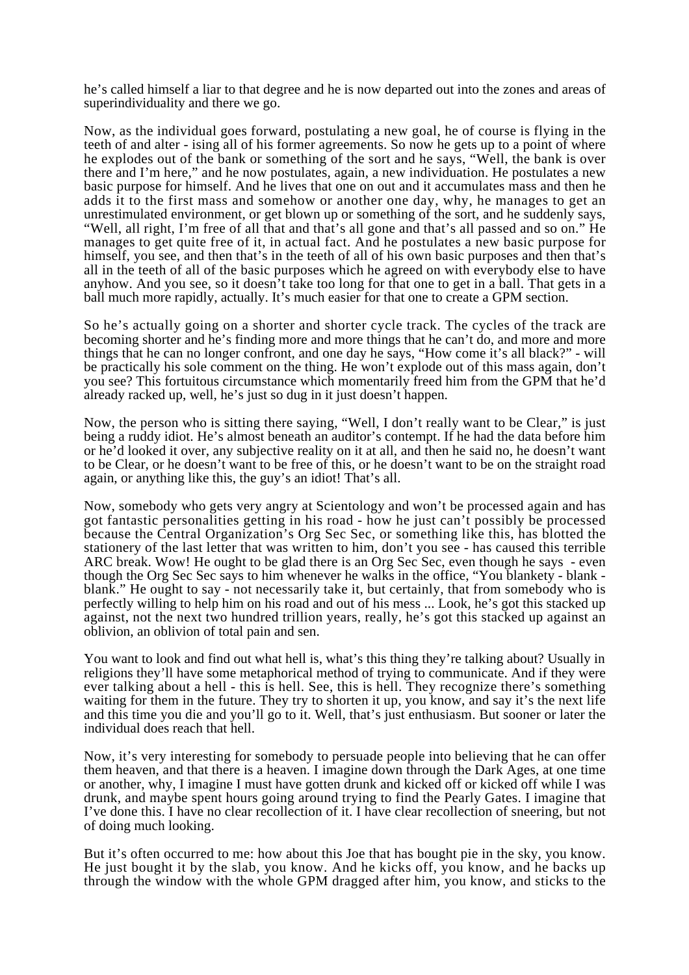he's called himself a liar to that degree and he is now departed out into the zones and areas of superindividuality and there we go.

Now, as the individual goes forward, postulating a new goal, he of course is flying in the teeth of and alter - ising all of his former agreements. So now he gets up to a point of where he explodes out of the bank or something of the sort and he says, "Well, the bank is over there and I'm here," and he now postulates, again, a new individuation. He postulates a new basic purpose for himself. And he lives that one on out and it accumulates mass and then he adds it to the first mass and somehow or another one day, why, he manages to get an unrestimulated environment, or get blown up or something of the sort, and he suddenly says, "Well, all right, I'm free of all that and that's all gone and that's all passed and so on." He manages to get quite free of it, in actual fact. And he postulates a new basic purpose for himself, you see, and then that's in the teeth of all of his own basic purposes and then that's all in the teeth of all of the basic purposes which he agreed on with everybody else to have anyhow. And you see, so it doesn't take too long for that one to get in a ball. That gets in a ball much more rapidly, actually. It's much easier for that one to create a GPM section.

So he's actually going on a shorter and shorter cycle track. The cycles of the track are becoming shorter and he's finding more and more things that he can't do, and more and more things that he can no longer confront, and one day he says, "How come it's all black?" - will be practically his sole comment on the thing. He won't explode out of this mass again, don't you see? This fortuitous circumstance which momentarily freed him from the GPM that he'd already racked up, well, he's just so dug in it just doesn't happen.

Now, the person who is sitting there saying, "Well, I don't really want to be Clear," is just being a ruddy idiot. He's almost beneath an auditor's contempt. If he had the data before him or he'd looked it over, any subjective reality on it at all, and then he said no, he doesn't want to be Clear, or he doesn't want to be free of this, or he doesn't want to be on the straight road again, or anything like this, the guy's an idiot! That's all.

Now, somebody who gets very angry at Scientology and won't be processed again and has got fantastic personalities getting in his road - how he just can't possibly be processed because the Central Organization's Org Sec Sec, or something like this, has blotted the stationery of the last letter that was written to him, don't you see - has caused this terrible ARC break. Wow! He ought to be glad there is an Org Sec Sec, even though he says - even though the Org Sec Sec says to him whenever he walks in the office, "You blankety - blank blank." He ought to say - not necessarily take it, but certainly, that from somebody who is perfectly willing to help him on his road and out of his mess ... Look, he's got this stacked up against, not the next two hundred trillion years, really, he's got this stacked up against an oblivion, an oblivion of total pain and sen.

You want to look and find out what hell is, what's this thing they're talking about? Usually in religions they'll have some metaphorical method of trying to communicate. And if they were ever talking about a hell - this is hell. See, this is hell. They recognize there's something waiting for them in the future. They try to shorten it up, you know, and say it's the next life and this time you die and you'll go to it. Well, that's just enthusiasm. But sooner or later the individual does reach that hell.

Now, it's very interesting for somebody to persuade people into believing that he can offer them heaven, and that there is a heaven. I imagine down through the Dark Ages, at one time or another, why, I imagine I must have gotten drunk and kicked off or kicked off while I was drunk, and maybe spent hours going around trying to find the Pearly Gates. I imagine that I've done this. I have no clear recollection of it. I have clear recollection of sneering, but not of doing much looking.

But it's often occurred to me: how about this Joe that has bought pie in the sky, you know. He just bought it by the slab, you know. And he kicks off, you know, and he backs up through the window with the whole GPM dragged after him, you know, and sticks to the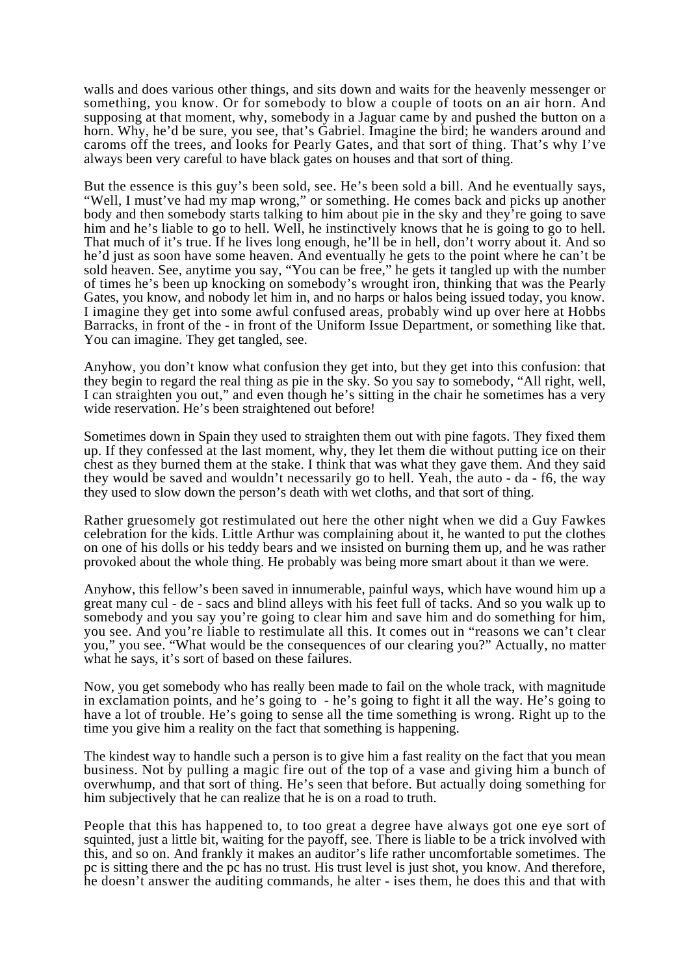walls and does various other things, and sits down and waits for the heavenly messenger or something, you know. Or for somebody to blow a couple of toots on an air horn. And supposing at that moment, why, somebody in a Jaguar came by and pushed the button on a horn. Why, he'd be sure, you see, that's Gabriel. Imagine the bird; he wanders around and caroms off the trees, and looks for Pearly Gates, and that sort of thing. That's why I've always been very careful to have black gates on houses and that sort of thing.

But the essence is this guy's been sold, see. He's been sold a bill. And he eventually says, "Well, I must've had my map wrong," or something. He comes back and picks up another body and then somebody starts talking to him about pie in the sky and they're going to save him and he's liable to go to hell. Well, he instinctively knows that he is going to go to hell. That much of it's true. If he lives long enough, he'll be in hell, don't worry about it. And so he'd just as soon have some heaven. And eventually he gets to the point where he can't be sold heaven. See, anytime you say, "You can be free," he gets it tangled up with the number of times he's been up knocking on somebody's wrought iron, thinking that was the Pearly Gates, you know, and nobody let him in, and no harps or halos being issued today, you know. I imagine they get into some awful confused areas, probably wind up over here at Hobbs Barracks, in front of the - in front of the Uniform Issue Department, or something like that. You can imagine. They get tangled, see.

Anyhow, you don't know what confusion they get into, but they get into this confusion: that they begin to regard the real thing as pie in the sky. So you say to somebody, "All right, well, I can straighten you out," and even though he's sitting in the chair he sometimes has a very wide reservation. He's been straightened out before!

Sometimes down in Spain they used to straighten them out with pine fagots. They fixed them up. If they confessed at the last moment, why, they let them die without putting ice on their chest as they burned them at the stake. I think that was what they gave them. And they said they would be saved and wouldn't necessarily go to hell. Yeah, the auto - da - f6, the way they used to slow down the person's death with wet cloths, and that sort of thing.

Rather gruesomely got restimulated out here the other night when we did a Guy Fawkes celebration for the kids. Little Arthur was complaining about it, he wanted to put the clothes on one of his dolls or his teddy bears and we insisted on burning them up, and he was rather provoked about the whole thing. He probably was being more smart about it than we were.

Anyhow, this fellow's been saved in innumerable, painful ways, which have wound him up a great many cul - de - sacs and blind alleys with his feet full of tacks. And so you walk up to somebody and you say you're going to clear him and save him and do something for him, you see. And you're liable to restimulate all this. It comes out in "reasons we can't clear you," you see. "What would be the consequences of our clearing you?" Actually, no matter what he says, it's sort of based on these failures.

Now, you get somebody who has really been made to fail on the whole track, with magnitude in exclamation points, and he's going to - he's going to fight it all the way. He's going to have a lot of trouble. He's going to sense all the time something is wrong. Right up to the time you give him a reality on the fact that something is happening.

The kindest way to handle such a person is to give him a fast reality on the fact that you mean business. Not by pulling a magic fire out of the top of a vase and giving him a bunch of overwhump, and that sort of thing. He's seen that before. But actually doing something for him subjectively that he can realize that he is on a road to truth.

People that this has happened to, to too great a degree have always got one eye sort of squinted, just a little bit, waiting for the payoff, see. There is liable to be a trick involved with this, and so on. And frankly it makes an auditor's life rather uncomfortable sometimes. The pc is sitting there and the pc has no trust. His trust level is just shot, you know. And therefore, he doesn't answer the auditing commands, he alter - ises them, he does this and that with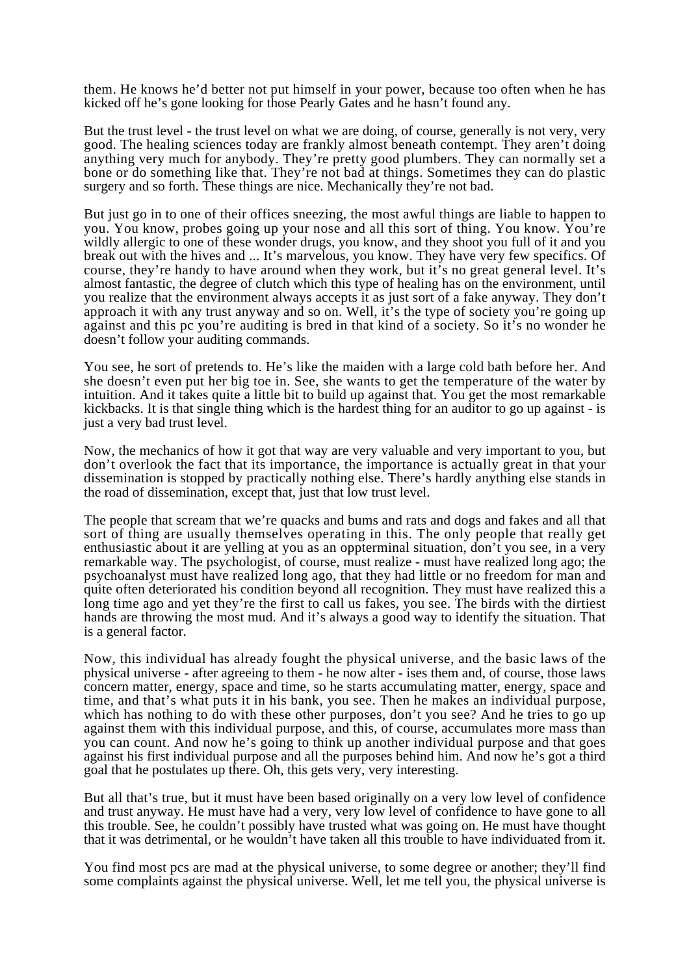them. He knows he'd better not put himself in your power, because too often when he has kicked off he's gone looking for those Pearly Gates and he hasn't found any.

But the trust level - the trust level on what we are doing, of course, generally is not very, very good. The healing sciences today are frankly almost beneath contempt. They aren't doing anything very much for anybody. They're pretty good plumbers. They can normally set a bone or do something like that. They're not bad at things. Sometimes they can do plastic surgery and so forth. These things are nice. Mechanically they're not bad.

But just go in to one of their offices sneezing, the most awful things are liable to happen to you. You know, probes going up your nose and all this sort of thing. You know. You're wildly allergic to one of these wonder drugs, you know, and they shoot you full of it and you break out with the hives and ... It's marvelous, you know. They have very few specifics. Of course, they're handy to have around when they work, but it's no great general level. It's almost fantastic, the degree of clutch which this type of healing has on the environment, until you realize that the environment always accepts it as just sort of a fake anyway. They don't approach it with any trust anyway and so on. Well, it's the type of society you're going up against and this pc you're auditing is bred in that kind of a society. So it's no wonder he doesn't follow your auditing commands.

You see, he sort of pretends to. He's like the maiden with a large cold bath before her. And she doesn't even put her big toe in. See, she wants to get the temperature of the water by intuition. And it takes quite a little bit to build up against that. You get the most remarkable kickbacks. It is that single thing which is the hardest thing for an auditor to go up against - is just a very bad trust level.

Now, the mechanics of how it got that way are very valuable and very important to you, but don't overlook the fact that its importance, the importance is actually great in that your dissemination is stopped by practically nothing else. There's hardly anything else stands in the road of dissemination, except that, just that low trust level.

The people that scream that we're quacks and bums and rats and dogs and fakes and all that sort of thing are usually themselves operating in this. The only people that really get enthusiastic about it are yelling at you as an oppterminal situation, don't you see, in a very remarkable way. The psychologist, of course, must realize - must have realized long ago; the psychoanalyst must have realized long ago, that they had little or no freedom for man and quite often deteriorated his condition beyond all recognition. They must have realized this a long time ago and yet they're the first to call us fakes, you see. The birds with the dirtiest hands are throwing the most mud. And it's always a good way to identify the situation. That is a general factor.

Now, this individual has already fought the physical universe, and the basic laws of the physical universe - after agreeing to them - he now alter - ises them and, of course, those laws concern matter, energy, space and time, so he starts accumulating matter, energy, space and time, and that's what puts it in his bank, you see. Then he makes an individual purpose, which has nothing to do with these other purposes, don't you see? And he tries to go up against them with this individual purpose, and this, of course, accumulates more mass than you can count. And now he's going to think up another individual purpose and that goes against his first individual purpose and all the purposes behind him. And now he's got a third goal that he postulates up there. Oh, this gets very, very interesting.

But all that's true, but it must have been based originally on a very low level of confidence and trust anyway. He must have had a very, very low level of confidence to have gone to all this trouble. See, he couldn't possibly have trusted what was going on. He must have thought that it was detrimental, or he wouldn't have taken all this trouble to have individuated from it.

You find most pcs are mad at the physical universe, to some degree or another; they'll find some complaints against the physical universe. Well, let me tell you, the physical universe is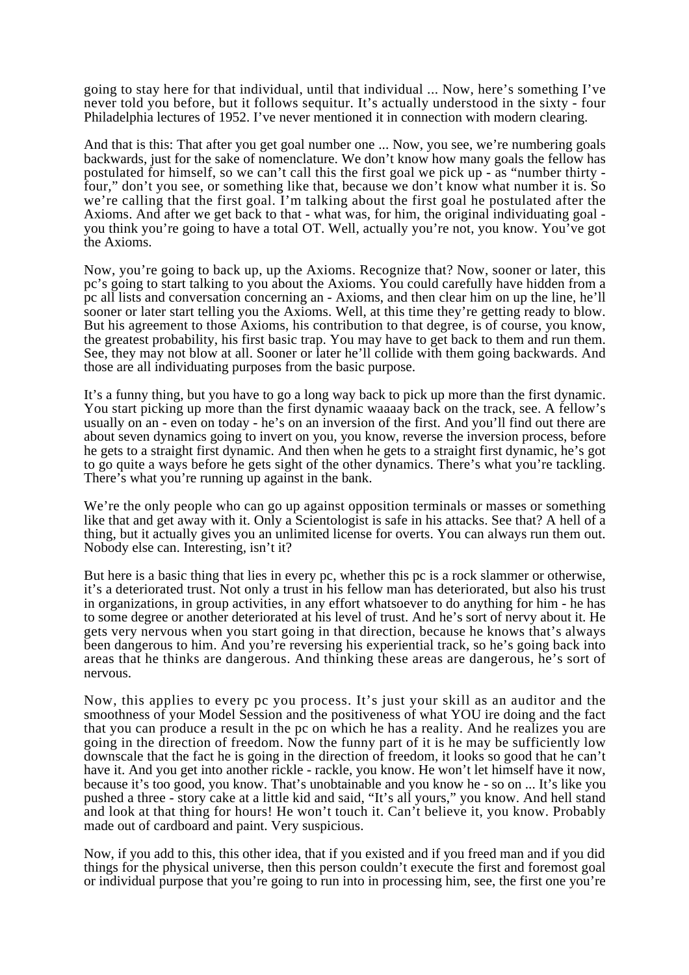going to stay here for that individual, until that individual ... Now, here's something I've never told you before, but it follows sequitur. It's actually understood in the sixty - four Philadelphia lectures of 1952. I've never mentioned it in connection with modern clearing.

And that is this: That after you get goal number one ... Now, you see, we're numbering goals backwards, just for the sake of nomenclature. We don't know how many goals the fellow has postulated for himself, so we can't call this the first goal we pick up - as "number thirty four," don't you see, or something like that, because we don't know what number it is. So we're calling that the first goal. I'm talking about the first goal he postulated after the Axioms. And after we get back to that - what was, for him, the original individuating goal you think you're going to have a total OT. Well, actually you're not, you know. You've got the Axioms.

Now, you're going to back up, up the Axioms. Recognize that? Now, sooner or later, this pc's going to start talking to you about the Axioms. You could carefully have hidden from a pc all lists and conversation concerning an - Axioms, and then clear him on up the line, he'll sooner or later start telling you the Axioms. Well, at this time they're getting ready to blow. But his agreement to those Axioms, his contribution to that degree, is of course, you know, the greatest probability, his first basic trap. You may have to get back to them and run them. See, they may not blow at all. Sooner or later he'll collide with them going backwards. And those are all individuating purposes from the basic purpose.

It's a funny thing, but you have to go a long way back to pick up more than the first dynamic. You start picking up more than the first dynamic waaaay back on the track, see. A fellow's usually on an - even on today - he's on an inversion of the first. And you'll find out there are about seven dynamics going to invert on you, you know, reverse the inversion process, before he gets to a straight first dynamic. And then when he gets to a straight first dynamic, he's got to go quite a ways before he gets sight of the other dynamics. There's what you're tackling. There's what you're running up against in the bank.

We're the only people who can go up against opposition terminals or masses or something like that and get away with it. Only a Scientologist is safe in his attacks. See that? A hell of a thing, but it actually gives you an unlimited license for overts. You can always run them out. Nobody else can. Interesting, isn't it?

But here is a basic thing that lies in every pc, whether this pc is a rock slammer or otherwise, it's a deteriorated trust. Not only a trust in his fellow man has deteriorated, but also his trust in organizations, in group activities, in any effort whatsoever to do anything for him - he has to some degree or another deteriorated at his level of trust. And he's sort of nervy about it. He gets very nervous when you start going in that direction, because he knows that's always been dangerous to him. And you're reversing his experiential track, so he's going back into areas that he thinks are dangerous. And thinking these areas are dangerous, he's sort of nervous.

Now, this applies to every pc you process. It's just your skill as an auditor and the smoothness of your Model Session and the positiveness of what YOU ire doing and the fact that you can produce a result in the pc on which he has a reality. And he realizes you are going in the direction of freedom. Now the funny part of it is he may be sufficiently low downscale that the fact he is going in the direction of freedom, it looks so good that he can't have it. And you get into another rickle - rackle, you know. He won't let himself have it now, because it's too good, you know. That's unobtainable and you know he - so on ... It's like you pushed a three - story cake at a little kid and said, "It's all yours," you know. And hell stand and look at that thing for hours! He won't touch it. Can't believe it, you know. Probably made out of cardboard and paint. Very suspicious.

Now, if you add to this, this other idea, that if you existed and if you freed man and if you did things for the physical universe, then this person couldn't execute the first and foremost goal or individual purpose that you're going to run into in processing him, see, the first one you're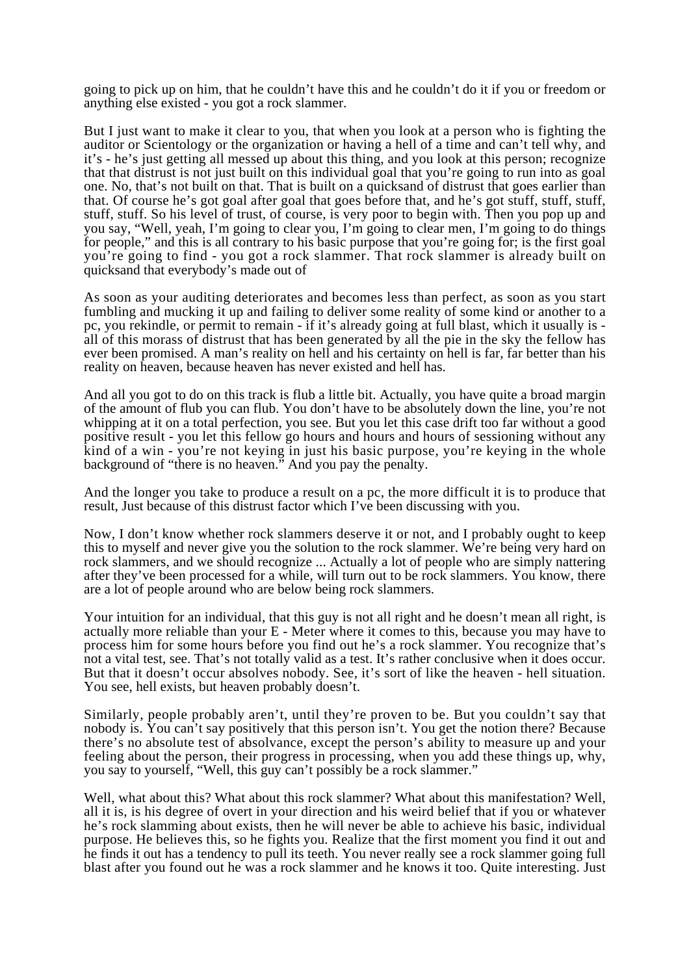going to pick up on him, that he couldn't have this and he couldn't do it if you or freedom or anything else existed - you got a rock slammer.

But I just want to make it clear to you, that when you look at a person who is fighting the auditor or Scientology or the organization or having a hell of a time and can't tell why, and it's - he's just getting all messed up about this thing, and you look at this person; recognize that that distrust is not just built on this individual goal that you're going to run into as goal one. No, that's not built on that. That is built on a quicksand of distrust that goes earlier than that. Of course he's got goal after goal that goes before that, and he's got stuff, stuff, stuff, stuff, stuff. So his level of trust, of course, is very poor to begin with. Then you pop up and you say, "Well, yeah, I'm going to clear you, I'm going to clear men, I'm going to do things for people," and this is all contrary to his basic purpose that you're going for; is the first goal you're going to find - you got a rock slammer. That rock slammer is already built on quicksand that everybody's made out of

As soon as your auditing deteriorates and becomes less than perfect, as soon as you start fumbling and mucking it up and failing to deliver some reality of some kind or another to a pc, you rekindle, or permit to remain - if it's already going at full blast, which it usually is all of this morass of distrust that has been generated by all the pie in the sky the fellow has ever been promised. A man's reality on hell and his certainty on hell is far, far better than his reality on heaven, because heaven has never existed and hell has.

And all you got to do on this track is flub a little bit. Actually, you have quite a broad margin of the amount of flub you can flub. You don't have to be absolutely down the line, you're not whipping at it on a total perfection, you see. But you let this case drift too far without a good positive result - you let this fellow go hours and hours and hours of sessioning without any kind of a win - you're not keying in just his basic purpose, you're keying in the whole background of "there is no heaven." And you pay the penalty.

And the longer you take to produce a result on a pc, the more difficult it is to produce that result, Just because of this distrust factor which I've been discussing with you.

Now, I don't know whether rock slammers deserve it or not, and I probably ought to keep this to myself and never give you the solution to the rock slammer. We're being very hard on rock slammers, and we should recognize ... Actually a lot of people who are simply nattering after they've been processed for a while, will turn out to be rock slammers. You know, there are a lot of people around who are below being rock slammers.

Your intuition for an individual, that this guy is not all right and he doesn't mean all right, is actually more reliable than your E - Meter where it comes to this, because you may have to process him for some hours before you find out he's a rock slammer. You recognize that's not a vital test, see. That's not totally valid as a test. It's rather conclusive when it does occur. But that it doesn't occur absolves nobody. See, it's sort of like the heaven - hell situation. You see, hell exists, but heaven probably doesn't.

Similarly, people probably aren't, until they're proven to be. But you couldn't say that nobody is. You can't say positively that this person isn't. You get the notion there? Because there's no absolute test of absolvance, except the person's ability to measure up and your feeling about the person, their progress in processing, when you add these things up, why, you say to yourself, "Well, this guy can't possibly be a rock slammer."

Well, what about this? What about this rock slammer? What about this manifestation? Well, all it is, is his degree of overt in your direction and his weird belief that if you or whatever he's rock slamming about exists, then he will never be able to achieve his basic, individual purpose. He believes this, so he fights you. Realize that the first moment you find it out and he finds it out has a tendency to pull its teeth. You never really see a rock slammer going full blast after you found out he was a rock slammer and he knows it too. Quite interesting. Just